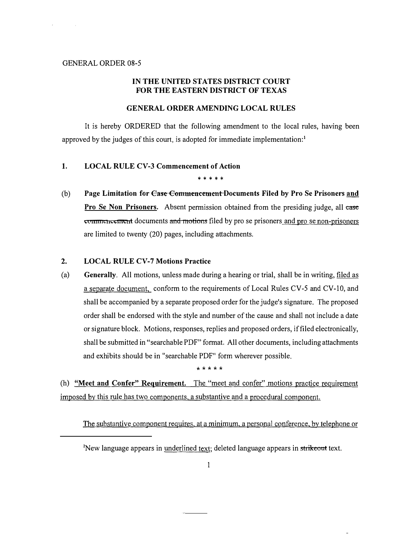#### GENERAL ORDER 08-5

 $\sim$ 

 $\sim 10$ 

## IN THE UNITED STATES DISTRICT COURT FOR THE EASTERN DISTRICT OF TEXAS

#### GENERAL ORDER AMENDING LOCAL RULES

It is hereby ORDERED that the following amendment to the local rules, having been approved by the judges of this court, is adopted for immediate implementation:<sup>1</sup>

# 1. LOCAL RULE CV-3 Commencement of Action

\* \* \* \* \*

(b) Page Limitation for Case Commencement Documents Filed by Pro Se Prisoners and commencement documents and motions filed by pro se prisoners and pro se non-prisoners Pro Se Non Prisoners. Absent permission obtained from the presiding judge, all case are limited to twenty (20) pages, including attachments.

### 2. LOCAL RULE CV-7 Motions Practice

(a) Generally. All motions, unless made during a hearing or trial, shall be in writing, filed as a separate document, conform to the requirements of Local Rules CV-5 and CV-10, and shall be accompanied by a separate proposed order for the judge's signature. The proposed order shall be endorsed with the style and number of the cause and shall not include a date or signature block. Motions, responses, replies and proposed orders, if filed electronically, shall be submitted in "searchable PDF" format. All other documents, including attachments and exhibits should be in "searchable PDF" form wherever possible.

\* \* \* \* \*

(h) "Meet and Confer" Requirement. The "meet and confer" motions practice requirement imposed by this rule has two components, a substantive and a procedural component.

The substantive component requires, at a minimum, a personal conference, by telephone or

<sup>1</sup>New language appears in <u>underlined text;</u> deleted language appears in strikeout text.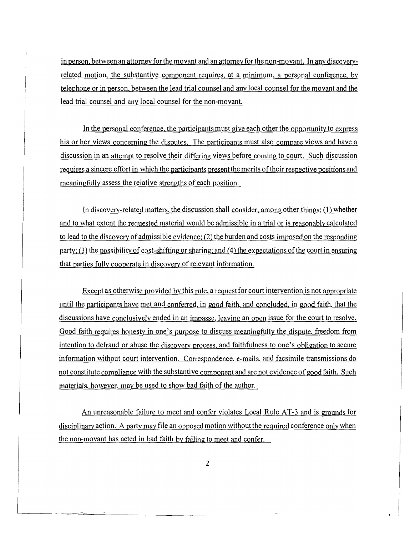in person, between an attorney for the movant and an attorney for the non-movant. In any discoveryrelated motion, the substantive component requires, at a minimum, a personal conference, by telephone or in person, between the lead trial counsel and any local counsel for the movant and the lead trial counsel and any local counsel for the non-movant.

In the personal conference, the participants must give each other the opportunity to express his or her views concerning the disputes. The participants must also compare views and have a discussion in an attempt to resolve their differing views before coming to court. Such discussion requires a sincere effort in which the participants present the merits of their respective positions and meaningfully assess the relative strengths of each position.

In discovery-related matters, the discussion shall consider, among other things: (1) whether and to what extent the requested material would be admissible in a trial or is reasonably calculated to lead to the discovery of admissible evidence; (2) the burden and costs imposed on the responding party; (3) the possibility of cost-shifting or sharing; and (4) the expectations of the court in ensuring that parties fully cooperate in discovery of relevant information.

Except as otherwise provided by this rule, a request for court intervention is not appropriate until the participants have met and conferred, in good faith, and concluded, in good faith, that the discussions have conclusively ended in an impasse, leaving an open issue for the court to resolve. Good faith requires honesty in one's purpose to discuss meaningfully the dispute, freedom from intention to defraud or abuse the discovery process, and faithfulness to one's obligation to secure information without court intervention. Correspondence, e-mails, and facsimile transmissions do not constitute compliance with the substantive component and are not evidence of good faith. Such materials, however, may be used to show bad faith of the author.

An unreasonable failure to meet and confer violates Local Rule AT-3 and is grounds for disciplinary action. A party may file an opposed motion without the required conference only when the non-movant has acted in bad faith by failing to meet and confer.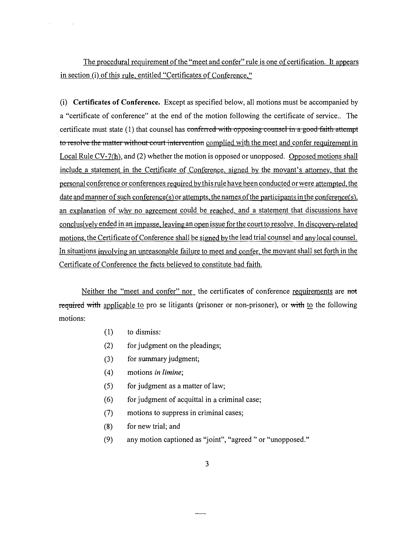The procedural requirement of the "meet and confer" rule is one of certification. It appears in section (i) of this rule, entitled "Certificates of Conference,"

(i) Certificates of Conference. Except as specified below, all motions must be accompanied by a "certificate of conference" at the end of the motion following the certificate of service.. The certificate must state  $(1)$  that counsel has conferred with opposing counsel in a good faith attempt to resolve the matter without court intervention complied with the meet and confer requirement in Local Rule CV-7(h), and (2) whether the motion is opposed or unopposed. Opposed motions shall include a statement in the Certificate of Conference, signed by the movant's attorney, that the personal conference or conferences required by this rule have been conducted or were attempted, the date and manner of such conference(s) or attempts, the names of the participants in the conference(s), an explanation of why no agreement could be reached, and a statement that discussions have conclusively ended in an impasse, leaving an open issue for the court to resolve. In discovery-related motions, the Certificate of Conference shall be signed by the lead trial counsel and any local counsel. In situations involving an unreasonable failure to meet and confer, the movant shall set forth in the Certificate of Conference the facts believed to constitute bad faith.

Neither the "meet and confer" nor the certificates of conference requirements are not required with applicable to pro se litigants (prisoner or non-prisoner), or with to the following motions:

- (1) to dismiss:
- (2) for judgment on the pleadings;
- (3) for summary judgment;
- (4) motions in limine;
- (5) for judgment as a matter of law;
- (6) for judgment of acquittal in a criminal case;
- (7) motions to suppress in criminal cases;
- (8) for new trial; and
- (9) any motion captioned as "joint", "agreed" or "unopposed,"